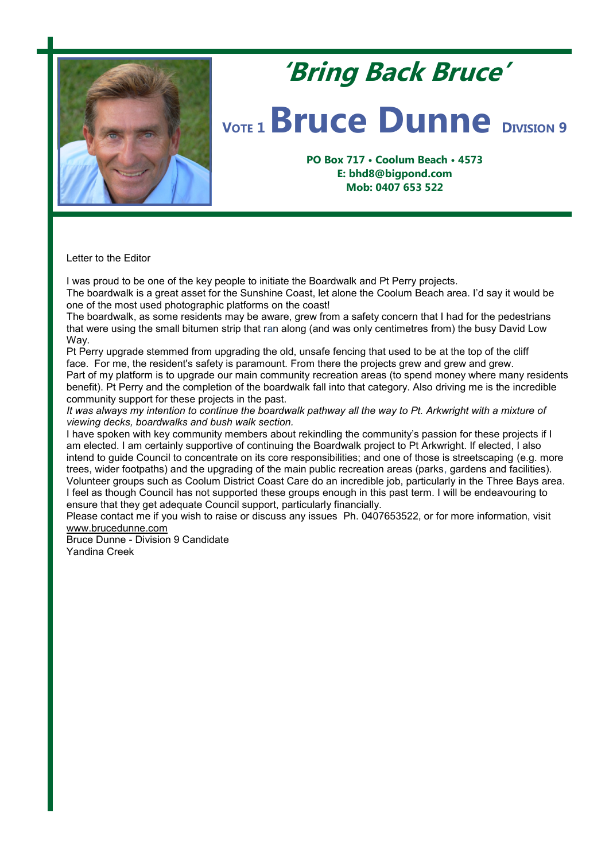

## **'Bring Back Bruce'**

## *VOTE* **1 <b>Bruce Dunne DIVISION** 9

**PO Box 717 • Coolum Beach • 4573 E: bhd8@bigpond.com Mob: 0407 653 522**

Letter to the Editor

I was proud to be one of the key people to initiate the Boardwalk and Pt Perry projects.

The boardwalk is a great asset for the Sunshine Coast, let alone the Coolum Beach area. I'd say it would be one of the most used photographic platforms on the coast!

The boardwalk, as some residents may be aware, grew from a safety concern that I had for the pedestrians that were using the small bitumen strip that ran along (and was only centimetres from) the busy David Low Way.

Pt Perry upgrade stemmed from upgrading the old, unsafe fencing that used to be at the top of the cliff face. For me, the resident's safety is paramount. From there the projects grew and grew and grew. Part of my platform is to upgrade our main community recreation areas (to spend money where many residents benefit). Pt Perry and the completion of the boardwalk fall into that category. Also driving me is the incredible community support for these projects in the past.

*It was always my intention to continue the boardwalk pathway all the way to Pt. Arkwright with a mixture of viewing decks, boardwalks and bush walk section.* 

I have spoken with key community members about rekindling the community's passion for these projects if I am elected. I am certainly supportive of continuing the Boardwalk project to Pt Arkwright. If elected, I also intend to guide Council to concentrate on its core responsibilities; and one of those is streetscaping (e.g. more trees, wider footpaths) and the upgrading of the main public recreation areas (parks, gardens and facilities). Volunteer groups such as Coolum District Coast Care do an incredible job, particularly in the Three Bays area. I feel as though Council has not supported these groups enough in this past term. I will be endeavouring to ensure that they get adequate Council support, particularly financially.

Please contact me if you wish to raise or discuss any issues Ph. 0407653522, or for more information, visit [www.brucedunne.com](http://www.brucedunne.com/)

Bruce Dunne - Division 9 Candidate Yandina Creek